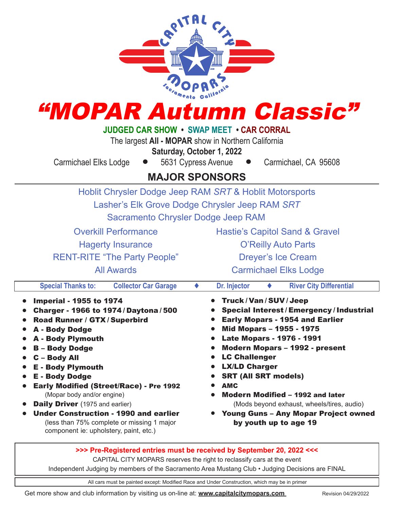| "MOPAR Autumn Classic"<br><b>JUDGED CAR SHOW • SWAP MEET • CAR CORRAL</b><br>The largest All - MOPAR show in Northern California<br>Saturday, October 1, 2022<br>5631 Cypress Avenue<br>Carmichael Elks Lodge<br>Carmichael, CA 95608                                                                                                                                                                                                                                                                                                                                                                                                                                                        |                                                                                                                                                                                                                                                                                                                                                                                                                                                                                                                                                                                    |  |  |
|----------------------------------------------------------------------------------------------------------------------------------------------------------------------------------------------------------------------------------------------------------------------------------------------------------------------------------------------------------------------------------------------------------------------------------------------------------------------------------------------------------------------------------------------------------------------------------------------------------------------------------------------------------------------------------------------|------------------------------------------------------------------------------------------------------------------------------------------------------------------------------------------------------------------------------------------------------------------------------------------------------------------------------------------------------------------------------------------------------------------------------------------------------------------------------------------------------------------------------------------------------------------------------------|--|--|
| <b>MAJOR SPONSORS</b>                                                                                                                                                                                                                                                                                                                                                                                                                                                                                                                                                                                                                                                                        |                                                                                                                                                                                                                                                                                                                                                                                                                                                                                                                                                                                    |  |  |
| Hoblit Chrysler Dodge Jeep RAM SRT & Hoblit Motorsports<br>Lasher's Elk Grove Dodge Chrysler Jeep RAM SRT<br>Sacramento Chrysler Dodge Jeep RAM<br><b>Overkill Performance</b><br><b>Hagerty Insurance</b><br><b>RENT-RITE "The Party People"</b><br><b>All Awards</b>                                                                                                                                                                                                                                                                                                                                                                                                                       | <b>Hastie's Capitol Sand &amp; Gravel</b><br><b>O'Reilly Auto Parts</b><br><b>Dreyer's Ice Cream</b><br><b>Carmichael Elks Lodge</b>                                                                                                                                                                                                                                                                                                                                                                                                                                               |  |  |
| <b>Special Thanks to:</b><br><b>Collector Car Garage</b><br><b>Imperial - 1955 to 1974</b><br>$\bullet$<br><b>Charger - 1966 to 1974/Daytona/500</b><br>$\bullet$<br>Road Runner / GTX / Superbird<br><b>A - Body Dodge</b><br>$\bullet$<br><b>A</b> - Body Plymouth<br>$\bullet$<br><b>B-Body Dodge</b><br>C - Body All<br>$\bullet$<br><b>E</b> - Body Plymouth<br><b>E</b> - Body Dodge<br>$\bullet$<br>Early Modified (Street/Race) - Pre 1992<br>(Mopar body and/or engine)<br><b>Daily Driver</b> (1975 and earlier)<br>$\bullet$<br><b>Under Construction - 1990 and earlier</b><br>$\bullet$<br>(less than 75% complete or missing 1 major<br>component ie: upholstery, paint, etc.) | Dr. Injector<br><b>River City Differential</b><br>Truck/Van/SUV/Jeep<br><b>Special Interest/Emergency/Industrial</b><br><b>Early Mopars - 1954 and Earlier</b><br>Mid Mopars - 1955 - 1975<br>$\bullet$<br><b>Late Mopars - 1976 - 1991</b><br>$\bullet$<br><b>Modern Mopars - 1992 - present</b><br>$\bullet$<br><b>LC Challenger</b><br>$\bullet$<br><b>LX/LD Charger</b><br><b>SRT (All SRT models)</b><br><b>AMC</b><br>Modern Modified - 1992 and later<br>(Mods beyond exhaust, wheels/tires, audio)<br><b>Young Guns - Any Mopar Project owned</b><br>by youth up to age 19 |  |  |

## **>>> Pre-Registered entries must be received by September 20, 2022 <<<**

CAPITAL CITY MOPARS reserves the right to reclassify cars at the event

Independent Judging by members of the Sacramento Area Mustang Club • Judging Decisions are FINAL

All cars must be painted except: Modified Race and Under Construction, which may be in primer

Get more show and club information by visiting us on-line at: **www.capitalcitymopars.com** Revision 04/29/2022